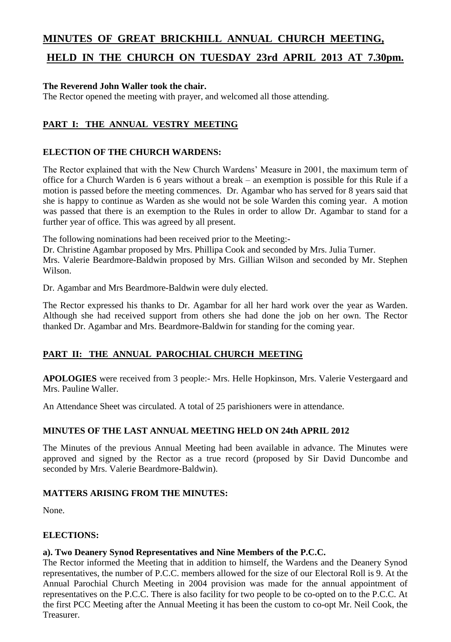## **MINUTES OF GREAT BRICKHILL ANNUAL CHURCH MEETING,**

# **HELD IN THE CHURCH ON TUESDAY 23rd APRIL 2013 AT 7.30pm.**

## **The Reverend John Waller took the chair.**

The Rector opened the meeting with prayer, and welcomed all those attending.

## **PART I: THE ANNUAL VESTRY MEETING**

## **ELECTION OF THE CHURCH WARDENS:**

The Rector explained that with the New Church Wardens' Measure in 2001, the maximum term of office for a Church Warden is 6 years without a break – an exemption is possible for this Rule if a motion is passed before the meeting commences. Dr. Agambar who has served for 8 years said that she is happy to continue as Warden as she would not be sole Warden this coming year. A motion was passed that there is an exemption to the Rules in order to allow Dr. Agambar to stand for a further year of office. This was agreed by all present.

The following nominations had been received prior to the Meeting:-

Dr. Christine Agambar proposed by Mrs. Phillipa Cook and seconded by Mrs. Julia Turner.

Mrs. Valerie Beardmore-Baldwin proposed by Mrs. Gillian Wilson and seconded by Mr. Stephen Wilson.

Dr. Agambar and Mrs Beardmore-Baldwin were duly elected.

The Rector expressed his thanks to Dr. Agambar for all her hard work over the year as Warden. Although she had received support from others she had done the job on her own. The Rector thanked Dr. Agambar and Mrs. Beardmore-Baldwin for standing for the coming year.

## **PART II: THE ANNUAL PAROCHIAL CHURCH MEETING**

**APOLOGIES** were received from 3 people:- Mrs. Helle Hopkinson, Mrs. Valerie Vestergaard and Mrs. Pauline Waller.

An Attendance Sheet was circulated. A total of 25 parishioners were in attendance.

#### **MINUTES OF THE LAST ANNUAL MEETING HELD ON 24th APRIL 2012**

The Minutes of the previous Annual Meeting had been available in advance. The Minutes were approved and signed by the Rector as a true record (proposed by Sir David Duncombe and seconded by Mrs. Valerie Beardmore-Baldwin).

## **MATTERS ARISING FROM THE MINUTES:**

None.

## **ELECTIONS:**

#### **a). Two Deanery Synod Representatives and Nine Members of the P.C.C.**

The Rector informed the Meeting that in addition to himself, the Wardens and the Deanery Synod representatives, the number of P.C.C. members allowed for the size of our Electoral Roll is 9. At the Annual Parochial Church Meeting in 2004 provision was made for the annual appointment of representatives on the P.C.C. There is also facility for two people to be co-opted on to the P.C.C. At the first PCC Meeting after the Annual Meeting it has been the custom to co-opt Mr. Neil Cook, the Treasurer.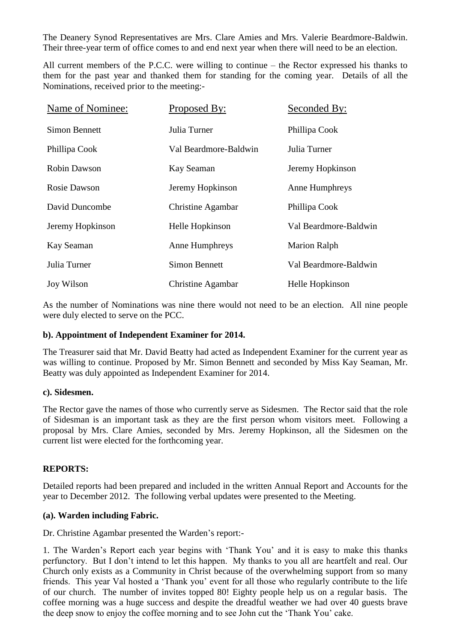The Deanery Synod Representatives are Mrs. Clare Amies and Mrs. Valerie Beardmore-Baldwin. Their three-year term of office comes to and end next year when there will need to be an election.

All current members of the P.C.C. were willing to continue – the Rector expressed his thanks to them for the past year and thanked them for standing for the coming year. Details of all the Nominations, received prior to the meeting:-

| Name of Nominee:     | Proposed By:          | Seconded By:          |
|----------------------|-----------------------|-----------------------|
| <b>Simon Bennett</b> | Julia Turner          | Phillipa Cook         |
| Phillipa Cook        | Val Beardmore-Baldwin | Julia Turner          |
| <b>Robin Dawson</b>  | Kay Seaman            | Jeremy Hopkinson      |
| Rosie Dawson         | Jeremy Hopkinson      | Anne Humphreys        |
| David Duncombe       | Christine Agambar     | Phillipa Cook         |
| Jeremy Hopkinson     | Helle Hopkinson       | Val Beardmore-Baldwin |
| Kay Seaman           | Anne Humphreys        | <b>Marion Ralph</b>   |
| Julia Turner         | <b>Simon Bennett</b>  | Val Beardmore-Baldwin |
| <b>Joy Wilson</b>    | Christine Agambar     | Helle Hopkinson       |

As the number of Nominations was nine there would not need to be an election. All nine people were duly elected to serve on the PCC.

#### **b). Appointment of Independent Examiner for 2014.**

The Treasurer said that Mr. David Beatty had acted as Independent Examiner for the current year as was willing to continue. Proposed by Mr. Simon Bennett and seconded by Miss Kay Seaman, Mr. Beatty was duly appointed as Independent Examiner for 2014.

#### **c). Sidesmen.**

The Rector gave the names of those who currently serve as Sidesmen. The Rector said that the role of Sidesman is an important task as they are the first person whom visitors meet. Following a proposal by Mrs. Clare Amies, seconded by Mrs. Jeremy Hopkinson, all the Sidesmen on the current list were elected for the forthcoming year.

#### **REPORTS:**

Detailed reports had been prepared and included in the written Annual Report and Accounts for the year to December 2012. The following verbal updates were presented to the Meeting.

#### **(a). Warden including Fabric.**

Dr. Christine Agambar presented the Warden's report:-

1. The Warden's Report each year begins with 'Thank You' and it is easy to make this thanks perfunctory. But I don't intend to let this happen. My thanks to you all are heartfelt and real. Our Church only exists as a Community in Christ because of the overwhelming support from so many friends. This year Val hosted a 'Thank you' event for all those who regularly contribute to the life of our church. The number of invites topped 80! Eighty people help us on a regular basis. The coffee morning was a huge success and despite the dreadful weather we had over 40 guests brave the deep snow to enjoy the coffee morning and to see John cut the 'Thank You' cake.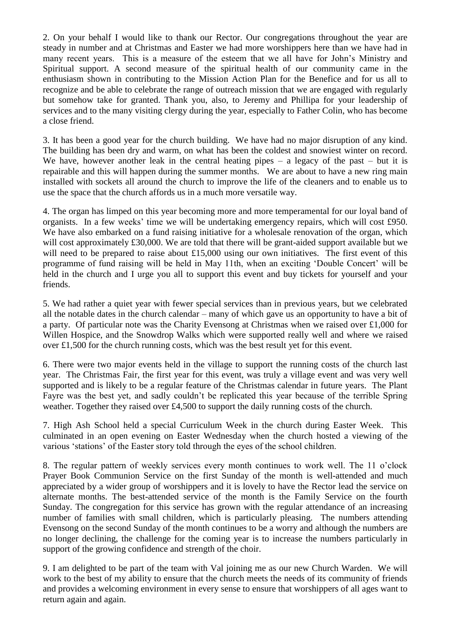2. On your behalf I would like to thank our Rector. Our congregations throughout the year are steady in number and at Christmas and Easter we had more worshippers here than we have had in many recent years. This is a measure of the esteem that we all have for John's Ministry and Spiritual support. A second measure of the spiritual health of our community came in the enthusiasm shown in contributing to the Mission Action Plan for the Benefice and for us all to recognize and be able to celebrate the range of outreach mission that we are engaged with regularly but somehow take for granted. Thank you, also, to Jeremy and Phillipa for your leadership of services and to the many visiting clergy during the year, especially to Father Colin, who has become a close friend.

3. It has been a good year for the church building. We have had no major disruption of any kind. The building has been dry and warm, on what has been the coldest and snowiest winter on record. We have, however another leak in the central heating pipes – a legacy of the past – but it is repairable and this will happen during the summer months. We are about to have a new ring main installed with sockets all around the church to improve the life of the cleaners and to enable us to use the space that the church affords us in a much more versatile way.

4. The organ has limped on this year becoming more and more temperamental for our loyal band of organists. In a few weeks' time we will be undertaking emergency repairs, which will cost £950. We have also embarked on a fund raising initiative for a wholesale renovation of the organ, which will cost approximately £30,000. We are told that there will be grant-aided support available but we will need to be prepared to raise about £15,000 using our own initiatives. The first event of this programme of fund raising will be held in May 11th, when an exciting 'Double Concert' will be held in the church and I urge you all to support this event and buy tickets for yourself and your friends.

5. We had rather a quiet year with fewer special services than in previous years, but we celebrated all the notable dates in the church calendar – many of which gave us an opportunity to have a bit of a party. Of particular note was the Charity Evensong at Christmas when we raised over £1,000 for Willen Hospice, and the Snowdrop Walks which were supported really well and where we raised over £1,500 for the church running costs, which was the best result yet for this event.

6. There were two major events held in the village to support the running costs of the church last year. The Christmas Fair, the first year for this event, was truly a village event and was very well supported and is likely to be a regular feature of the Christmas calendar in future years. The Plant Fayre was the best yet, and sadly couldn't be replicated this year because of the terrible Spring weather. Together they raised over  $\text{\pounds}4,500$  to support the daily running costs of the church.

7. High Ash School held a special Curriculum Week in the church during Easter Week. This culminated in an open evening on Easter Wednesday when the church hosted a viewing of the various 'stations' of the Easter story told through the eyes of the school children.

8. The regular pattern of weekly services every month continues to work well. The 11 o'clock Prayer Book Communion Service on the first Sunday of the month is well-attended and much appreciated by a wider group of worshippers and it is lovely to have the Rector lead the service on alternate months. The best-attended service of the month is the Family Service on the fourth Sunday. The congregation for this service has grown with the regular attendance of an increasing number of families with small children, which is particularly pleasing. The numbers attending Evensong on the second Sunday of the month continues to be a worry and although the numbers are no longer declining, the challenge for the coming year is to increase the numbers particularly in support of the growing confidence and strength of the choir.

9. I am delighted to be part of the team with Val joining me as our new Church Warden. We will work to the best of my ability to ensure that the church meets the needs of its community of friends and provides a welcoming environment in every sense to ensure that worshippers of all ages want to return again and again.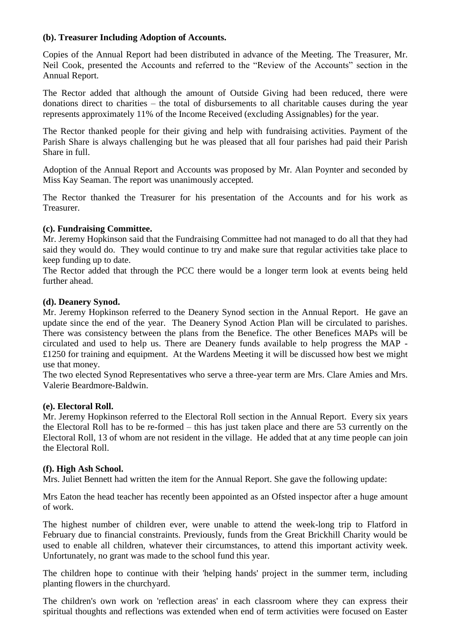## **(b). Treasurer Including Adoption of Accounts.**

Copies of the Annual Report had been distributed in advance of the Meeting. The Treasurer, Mr. Neil Cook, presented the Accounts and referred to the "Review of the Accounts" section in the Annual Report.

The Rector added that although the amount of Outside Giving had been reduced, there were donations direct to charities – the total of disbursements to all charitable causes during the year represents approximately 11% of the Income Received (excluding Assignables) for the year.

The Rector thanked people for their giving and help with fundraising activities. Payment of the Parish Share is always challenging but he was pleased that all four parishes had paid their Parish Share in full.

Adoption of the Annual Report and Accounts was proposed by Mr. Alan Poynter and seconded by Miss Kay Seaman. The report was unanimously accepted.

The Rector thanked the Treasurer for his presentation of the Accounts and for his work as Treasurer.

#### **(c). Fundraising Committee.**

Mr. Jeremy Hopkinson said that the Fundraising Committee had not managed to do all that they had said they would do. They would continue to try and make sure that regular activities take place to keep funding up to date.

The Rector added that through the PCC there would be a longer term look at events being held further ahead.

#### **(d). Deanery Synod.**

Mr. Jeremy Hopkinson referred to the Deanery Synod section in the Annual Report. He gave an update since the end of the year. The Deanery Synod Action Plan will be circulated to parishes. There was consistency between the plans from the Benefice. The other Benefices MAPs will be circulated and used to help us. There are Deanery funds available to help progress the MAP - £1250 for training and equipment. At the Wardens Meeting it will be discussed how best we might use that money.

The two elected Synod Representatives who serve a three-year term are Mrs. Clare Amies and Mrs. Valerie Beardmore-Baldwin.

#### **(e). Electoral Roll.**

Mr. Jeremy Hopkinson referred to the Electoral Roll section in the Annual Report. Every six years the Electoral Roll has to be re-formed – this has just taken place and there are 53 currently on the Electoral Roll, 13 of whom are not resident in the village. He added that at any time people can join the Electoral Roll.

#### **(f). High Ash School.**

Mrs. Juliet Bennett had written the item for the Annual Report. She gave the following update:

Mrs Eaton the head teacher has recently been appointed as an Ofsted inspector after a huge amount of work.

The highest number of children ever, were unable to attend the week-long trip to Flatford in February due to financial constraints. Previously, funds from the Great Brickhill Charity would be used to enable all children, whatever their circumstances, to attend this important activity week. Unfortunately, no grant was made to the school fund this year.

The children hope to continue with their 'helping hands' project in the summer term, including planting flowers in the churchyard.

The children's own work on 'reflection areas' in each classroom where they can express their spiritual thoughts and reflections was extended when end of term activities were focused on Easter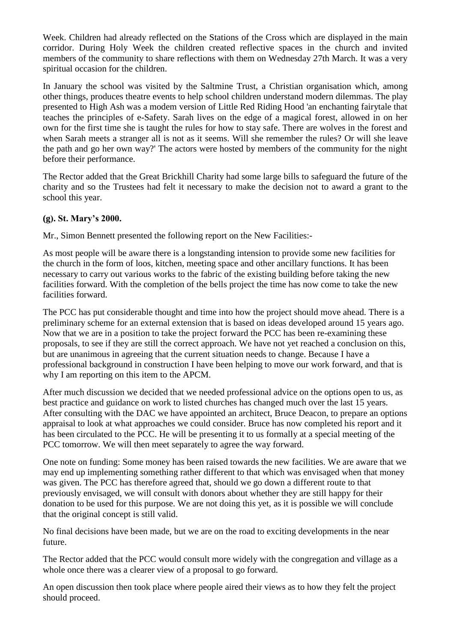Week. Children had already reflected on the Stations of the Cross which are displayed in the main corridor. During Holy Week the children created reflective spaces in the church and invited members of the community to share reflections with them on Wednesday 27th March. It was a very spiritual occasion for the children.

In January the school was visited by the Saltmine Trust, a Christian organisation which, among other things, produces theatre events to help school children understand modern dilemmas. The play presented to High Ash was a modem version of Little Red Riding Hood 'an enchanting fairytale that teaches the principles of e-Safety. Sarah lives on the edge of a magical forest, allowed in on her own for the first time she is taught the rules for how to stay safe. There are wolves in the forest and when Sarah meets a stranger all is not as it seems. Will she remember the rules? Or will she leave the path and go her own way?' The actors were hosted by members of the community for the night before their performance.

The Rector added that the Great Brickhill Charity had some large bills to safeguard the future of the charity and so the Trustees had felt it necessary to make the decision not to award a grant to the school this year.

## **(g). St. Mary's 2000.**

Mr., Simon Bennett presented the following report on the New Facilities:-

As most people will be aware there is a longstanding intension to provide some new facilities for the church in the form of loos, kitchen, meeting space and other ancillary functions. It has been necessary to carry out various works to the fabric of the existing building before taking the new facilities forward. With the completion of the bells project the time has now come to take the new facilities forward.

The PCC has put considerable thought and time into how the project should move ahead. There is a preliminary scheme for an external extension that is based on ideas developed around 15 years ago. Now that we are in a position to take the project forward the PCC has been re-examining these proposals, to see if they are still the correct approach. We have not yet reached a conclusion on this, but are unanimous in agreeing that the current situation needs to change. Because I have a professional background in construction I have been helping to move our work forward, and that is why I am reporting on this item to the APCM.

After much discussion we decided that we needed professional advice on the options open to us, as best practice and guidance on work to listed churches has changed much over the last 15 years. After consulting with the DAC we have appointed an architect, Bruce Deacon, to prepare an options appraisal to look at what approaches we could consider. Bruce has now completed his report and it has been circulated to the PCC. He will be presenting it to us formally at a special meeting of the PCC tomorrow. We will then meet separately to agree the way forward.

One note on funding: Some money has been raised towards the new facilities. We are aware that we may end up implementing something rather different to that which was envisaged when that money was given. The PCC has therefore agreed that, should we go down a different route to that previously envisaged, we will consult with donors about whether they are still happy for their donation to be used for this purpose. We are not doing this yet, as it is possible we will conclude that the original concept is still valid.

No final decisions have been made, but we are on the road to exciting developments in the near future.

The Rector added that the PCC would consult more widely with the congregation and village as a whole once there was a clearer view of a proposal to go forward.

An open discussion then took place where people aired their views as to how they felt the project should proceed.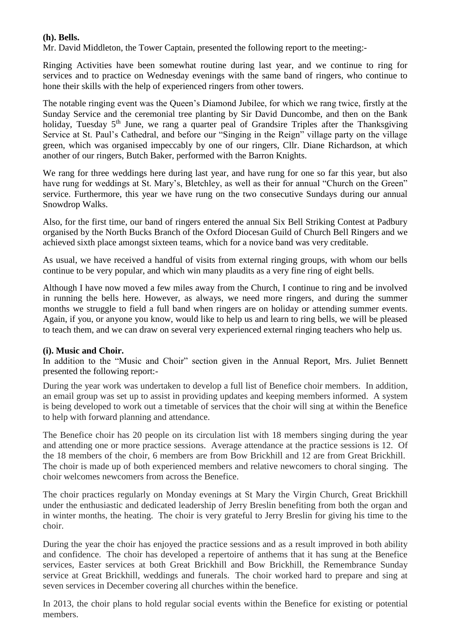## **(h). Bells.**

Mr. David Middleton, the Tower Captain, presented the following report to the meeting:-

Ringing Activities have been somewhat routine during last year, and we continue to ring for services and to practice on Wednesday evenings with the same band of ringers, who continue to hone their skills with the help of experienced ringers from other towers.

The notable ringing event was the Queen's Diamond Jubilee, for which we rang twice, firstly at the Sunday Service and the ceremonial tree planting by Sir David Duncombe, and then on the Bank holiday, Tuesday 5<sup>th</sup> June, we rang a quarter peal of Grandsire Triples after the Thanksgiving Service at St. Paul's Cathedral, and before our "Singing in the Reign" village party on the village green, which was organised impeccably by one of our ringers, Cllr. Diane Richardson, at which another of our ringers, Butch Baker, performed with the Barron Knights.

We rang for three weddings here during last year, and have rung for one so far this year, but also have rung for weddings at St. Mary's, Bletchley, as well as their for annual "Church on the Green" service. Furthermore, this year we have rung on the two consecutive Sundays during our annual Snowdrop Walks.

Also, for the first time, our band of ringers entered the annual Six Bell Striking Contest at Padbury organised by the North Bucks Branch of the Oxford Diocesan Guild of Church Bell Ringers and we achieved sixth place amongst sixteen teams, which for a novice band was very creditable.

As usual, we have received a handful of visits from external ringing groups, with whom our bells continue to be very popular, and which win many plaudits as a very fine ring of eight bells.

Although I have now moved a few miles away from the Church, I continue to ring and be involved in running the bells here. However, as always, we need more ringers, and during the summer months we struggle to field a full band when ringers are on holiday or attending summer events. Again, if you, or anyone you know, would like to help us and learn to ring bells, we will be pleased to teach them, and we can draw on several very experienced external ringing teachers who help us.

#### **(i). Music and Choir.**

In addition to the "Music and Choir" section given in the Annual Report, Mrs. Juliet Bennett presented the following report:-

During the year work was undertaken to develop a full list of Benefice choir members. In addition, an email group was set up to assist in providing updates and keeping members informed. A system is being developed to work out a timetable of services that the choir will sing at within the Benefice to help with forward planning and attendance.

The Benefice choir has 20 people on its circulation list with 18 members singing during the year and attending one or more practice sessions. Average attendance at the practice sessions is 12. Of the 18 members of the choir, 6 members are from Bow Brickhill and 12 are from Great Brickhill. The choir is made up of both experienced members and relative newcomers to choral singing. The choir welcomes newcomers from across the Benefice.

The choir practices regularly on Monday evenings at St Mary the Virgin Church, Great Brickhill under the enthusiastic and dedicated leadership of Jerry Breslin benefiting from both the organ and in winter months, the heating. The choir is very grateful to Jerry Breslin for giving his time to the choir.

During the year the choir has enjoyed the practice sessions and as a result improved in both ability and confidence. The choir has developed a repertoire of anthems that it has sung at the Benefice services, Easter services at both Great Brickhill and Bow Brickhill, the Remembrance Sunday service at Great Brickhill, weddings and funerals. The choir worked hard to prepare and sing at seven services in December covering all churches within the benefice.

In 2013, the choir plans to hold regular social events within the Benefice for existing or potential members.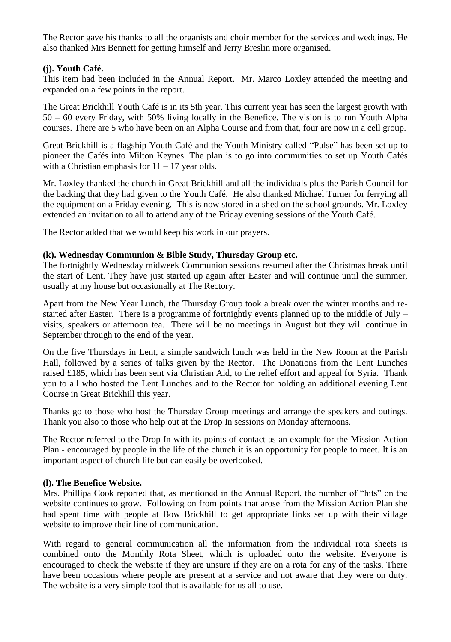The Rector gave his thanks to all the organists and choir member for the services and weddings. He also thanked Mrs Bennett for getting himself and Jerry Breslin more organised.

## **(j). Youth Café.**

This item had been included in the Annual Report. Mr. Marco Loxley attended the meeting and expanded on a few points in the report.

The Great Brickhill Youth Café is in its 5th year. This current year has seen the largest growth with 50 – 60 every Friday, with 50% living locally in the Benefice. The vision is to run Youth Alpha courses. There are 5 who have been on an Alpha Course and from that, four are now in a cell group.

Great Brickhill is a flagship Youth Café and the Youth Ministry called "Pulse" has been set up to pioneer the Cafés into Milton Keynes. The plan is to go into communities to set up Youth Cafés with a Christian emphasis for  $11 - 17$  year olds.

Mr. Loxley thanked the church in Great Brickhill and all the individuals plus the Parish Council for the backing that they had given to the Youth Café. He also thanked Michael Turner for ferrying all the equipment on a Friday evening. This is now stored in a shed on the school grounds. Mr. Loxley extended an invitation to all to attend any of the Friday evening sessions of the Youth Café.

The Rector added that we would keep his work in our prayers.

## **(k). Wednesday Communion & Bible Study, Thursday Group etc.**

The fortnightly Wednesday midweek Communion sessions resumed after the Christmas break until the start of Lent. They have just started up again after Easter and will continue until the summer, usually at my house but occasionally at The Rectory.

Apart from the New Year Lunch, the Thursday Group took a break over the winter months and restarted after Easter. There is a programme of fortnightly events planned up to the middle of July – visits, speakers or afternoon tea. There will be no meetings in August but they will continue in September through to the end of the year.

On the five Thursdays in Lent, a simple sandwich lunch was held in the New Room at the Parish Hall, followed by a series of talks given by the Rector. The Donations from the Lent Lunches raised £185, which has been sent via Christian Aid, to the relief effort and appeal for Syria. Thank you to all who hosted the Lent Lunches and to the Rector for holding an additional evening Lent Course in Great Brickhill this year.

Thanks go to those who host the Thursday Group meetings and arrange the speakers and outings. Thank you also to those who help out at the Drop In sessions on Monday afternoons.

The Rector referred to the Drop In with its points of contact as an example for the Mission Action Plan - encouraged by people in the life of the church it is an opportunity for people to meet. It is an important aspect of church life but can easily be overlooked.

## **(l). The Benefice Website.**

Mrs. Phillipa Cook reported that, as mentioned in the Annual Report, the number of "hits" on the website continues to grow. Following on from points that arose from the Mission Action Plan she had spent time with people at Bow Brickhill to get appropriate links set up with their village website to improve their line of communication.

With regard to general communication all the information from the individual rota sheets is combined onto the Monthly Rota Sheet, which is uploaded onto the website. Everyone is encouraged to check the website if they are unsure if they are on a rota for any of the tasks. There have been occasions where people are present at a service and not aware that they were on duty. The website is a very simple tool that is available for us all to use.